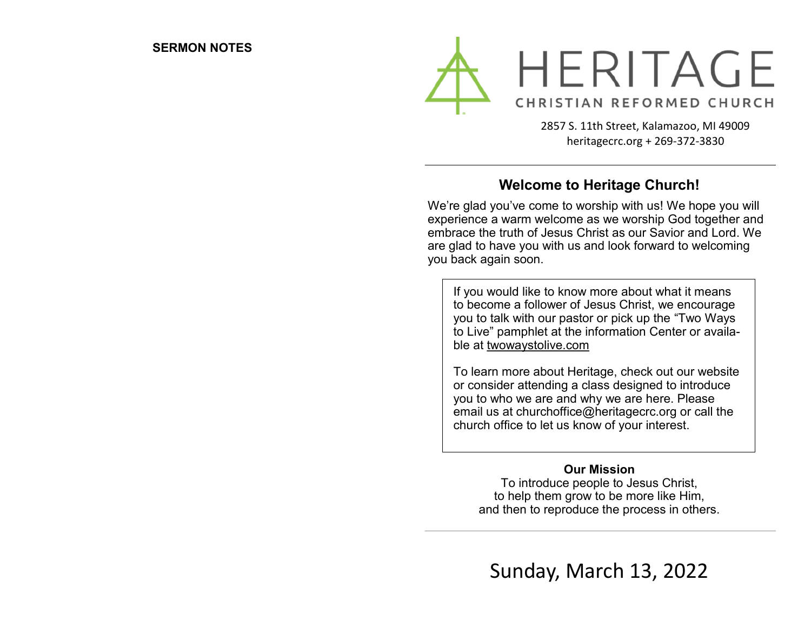

2857 S. 11th Street, Kalamazoo, MI 49009 heritagecrc.org + 269-372-3830

## **Welcome to Heritage Church!**

We're glad you've come to worship with us! We hope you will experience a warm welcome as we worship God together and embrace the truth of Jesus Christ as our Savior and Lord. We are glad to have you with us and look forward to welcoming you back again soon.

If you would like to know more about what it means to become a follower of Jesus Christ, we encourage you to talk with our pastor or pick up the "Two Ways to Live" pamphlet at the information Center or available at twowaystolive.com

To learn more about Heritage, check out our website or consider attending a class designed to introduce you to who we are and why we are here. Please email us at churchoffice@heritagecrc.org or call the church office to let us know of your interest.

### **Our Mission**

To introduce people to Jesus Christ, to help them grow to be more like Him, and then to reproduce the process in others.

Sunday, March 13, 2022